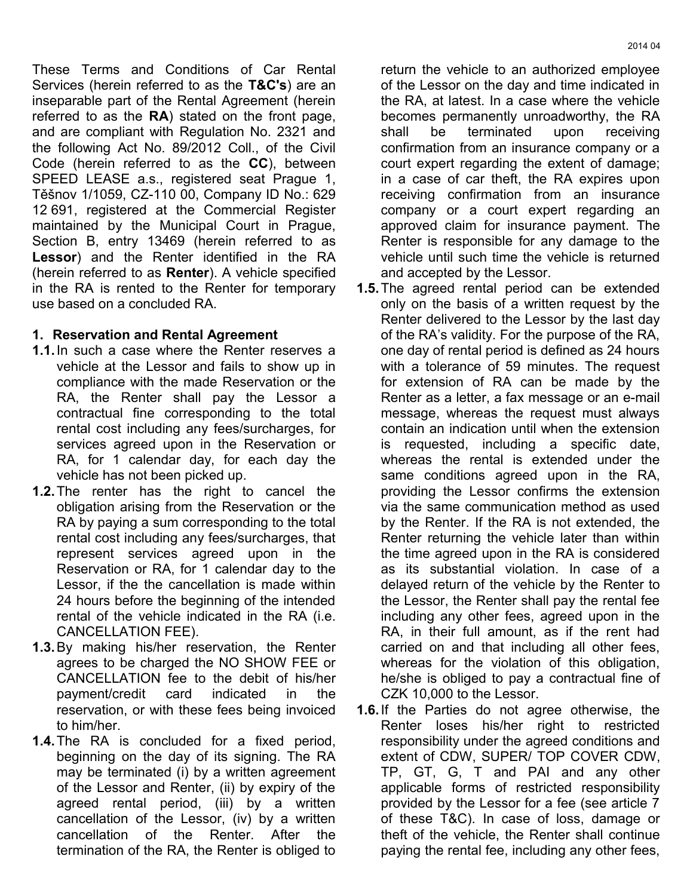2014 04

These Terms and Conditions of Car Rental Services (herein referred to as the **T&C's**) are an inseparable part of the Rental Agreement (herein referred to as the **RA**) stated on the front page, and are compliant with Regulation No. 2321 and the following Act No. 89/2012 Coll., of the Civil Code (herein referred to as the **CC**), between SPEED LEASE a.s., registered seat Prague 1, Těšnov 1/1059, CZ-110 00, Company ID No.: 629 12 691, registered at the Commercial Register maintained by the Municipal Court in Prague, Section B, entry 13469 (herein referred to as **Lessor**) and the Renter identified in the RA (herein referred to as **Renter**). A vehicle specified in the RA is rented to the Renter for temporary use based on a concluded RA.

# **1. Reservation and Rental Agreement**

- **1.1.**In such a case where the Renter reserves a vehicle at the Lessor and fails to show up in compliance with the made Reservation or the RA, the Renter shall pay the Lessor a contractual fine corresponding to the total rental cost including any fees/surcharges, for services agreed upon in the Reservation or RA, for 1 calendar day, for each day the vehicle has not been picked up.
- **1.2.**The renter has the right to cancel the obligation arising from the Reservation or the RA by paying a sum corresponding to the total rental cost including any fees/surcharges, that represent services agreed upon in the Reservation or RA, for 1 calendar day to the Lessor, if the the cancellation is made within 24 hours before the beginning of the intended rental of the vehicle indicated in the RA (i.e. CANCELLATION FEE).
- **1.3.**By making his/her reservation, the Renter agrees to be charged the NO SHOW FEE or CANCELLATION fee to the debit of his/her payment/credit card indicated in the reservation, or with these fees being invoiced to him/her.
- **1.4.**The RA is concluded for a fixed period, beginning on the day of its signing. The RA may be terminated (i) by a written agreement of the Lessor and Renter, (ii) by expiry of the agreed rental period, (iii) by a written cancellation of the Lessor, (iv) by a written cancellation of the Renter. After the termination of the RA, the Renter is obliged to

return the vehicle to an authorized employee of the Lessor on the day and time indicated in the RA, at latest. In a case where the vehicle becomes permanently unroadworthy, the RA shall be terminated upon receiving confirmation from an insurance company or a court expert regarding the extent of damage; in a case of car theft, the RA expires upon receiving confirmation from an insurance company or a court expert regarding an approved claim for insurance payment. The Renter is responsible for any damage to the vehicle until such time the vehicle is returned and accepted by the Lessor.

- **1.5.**The agreed rental period can be extended only on the basis of a written request by the Renter delivered to the Lessor by the last day of the RA's validity. For the purpose of the RA, one day of rental period is defined as 24 hours with a tolerance of 59 minutes. The request for extension of RA can be made by the Renter as a letter, a fax message or an e-mail message, whereas the request must always contain an indication until when the extension is requested, including a specific date, whereas the rental is extended under the same conditions agreed upon in the RA, providing the Lessor confirms the extension via the same communication method as used by the Renter. If the RA is not extended, the Renter returning the vehicle later than within the time agreed upon in the RA is considered as its substantial violation. In case of a delayed return of the vehicle by the Renter to the Lessor, the Renter shall pay the rental fee including any other fees, agreed upon in the RA, in their full amount, as if the rent had carried on and that including all other fees, whereas for the violation of this obligation, he/she is obliged to pay a contractual fine of CZK 10,000 to the Lessor.
- **1.6.**If the Parties do not agree otherwise, the Renter loses his/her right to restricted responsibility under the agreed conditions and extent of CDW, SUPER/ TOP COVER CDW, TP, GT, G, T and PAI and any other applicable forms of restricted responsibility provided by the Lessor for a fee (see article 7 of these T&C). In case of loss, damage or theft of the vehicle, the Renter shall continue paying the rental fee, including any other fees,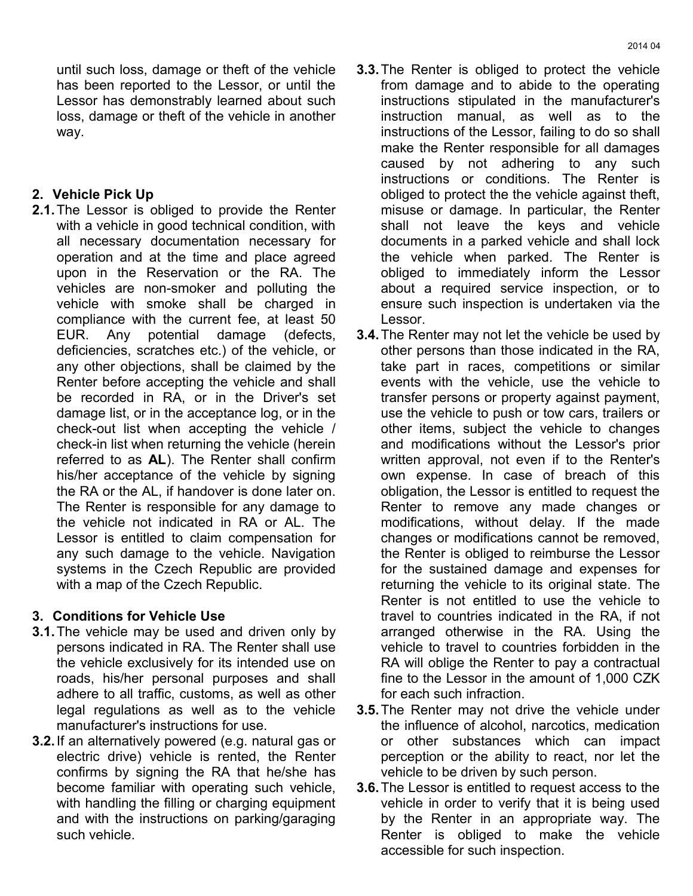until such loss, damage or theft of the vehicle has been reported to the Lessor, or until the Lessor has demonstrably learned about such loss, damage or theft of the vehicle in another way.

## **2. Vehicle Pick Up**

**2.1.**The Lessor is obliged to provide the Renter with a vehicle in good technical condition, with all necessary documentation necessary for operation and at the time and place agreed upon in the Reservation or the RA. The vehicles are non-smoker and polluting the vehicle with smoke shall be charged in compliance with the current fee, at least 50 EUR. Any potential damage (defects, deficiencies, scratches etc.) of the vehicle, or any other objections, shall be claimed by the Renter before accepting the vehicle and shall be recorded in RA, or in the Driver's set damage list, or in the acceptance log, or in the check-out list when accepting the vehicle / check-in list when returning the vehicle (herein referred to as **AL**). The Renter shall confirm his/her acceptance of the vehicle by signing the RA or the AL, if handover is done later on. The Renter is responsible for any damage to the vehicle not indicated in RA or AL. The Lessor is entitled to claim compensation for any such damage to the vehicle. Navigation systems in the Czech Republic are provided with a map of the Czech Republic.

## **3. Conditions for Vehicle Use**

- **3.1.**The vehicle may be used and driven only by persons indicated in RA. The Renter shall use the vehicle exclusively for its intended use on roads, his/her personal purposes and shall adhere to all traffic, customs, as well as other legal regulations as well as to the vehicle manufacturer's instructions for use.
- **3.2.**If an alternatively powered (e.g. natural gas or electric drive) vehicle is rented, the Renter confirms by signing the RA that he/she has become familiar with operating such vehicle, with handling the filling or charging equipment and with the instructions on parking/garaging such vehicle.
- **3.3.**The Renter is obliged to protect the vehicle from damage and to abide to the operating instructions stipulated in the manufacturer's instruction manual, as well as to the instructions of the Lessor, failing to do so shall make the Renter responsible for all damages caused by not adhering to any such instructions or conditions. The Renter is obliged to protect the the vehicle against theft, misuse or damage. In particular, the Renter shall not leave the keys and vehicle documents in a parked vehicle and shall lock the vehicle when parked. The Renter is obliged to immediately inform the Lessor about a required service inspection, or to ensure such inspection is undertaken via the Lessor.
- **3.4.**The Renter may not let the vehicle be used by other persons than those indicated in the RA, take part in races, competitions or similar events with the vehicle, use the vehicle to transfer persons or property against payment, use the vehicle to push or tow cars, trailers or other items, subject the vehicle to changes and modifications without the Lessor's prior written approval, not even if to the Renter's own expense. In case of breach of this obligation, the Lessor is entitled to request the Renter to remove any made changes or modifications, without delay. If the made changes or modifications cannot be removed, the Renter is obliged to reimburse the Lessor for the sustained damage and expenses for returning the vehicle to its original state. The Renter is not entitled to use the vehicle to travel to countries indicated in the RA, if not arranged otherwise in the RA. Using the vehicle to travel to countries forbidden in the RA will oblige the Renter to pay a contractual fine to the Lessor in the amount of 1,000 CZK for each such infraction.
- **3.5.**The Renter may not drive the vehicle under the influence of alcohol, narcotics, medication or other substances which can impact perception or the ability to react, nor let the vehicle to be driven by such person.
- **3.6.**The Lessor is entitled to request access to the vehicle in order to verify that it is being used by the Renter in an appropriate way. The Renter is obliged to make the vehicle accessible for such inspection.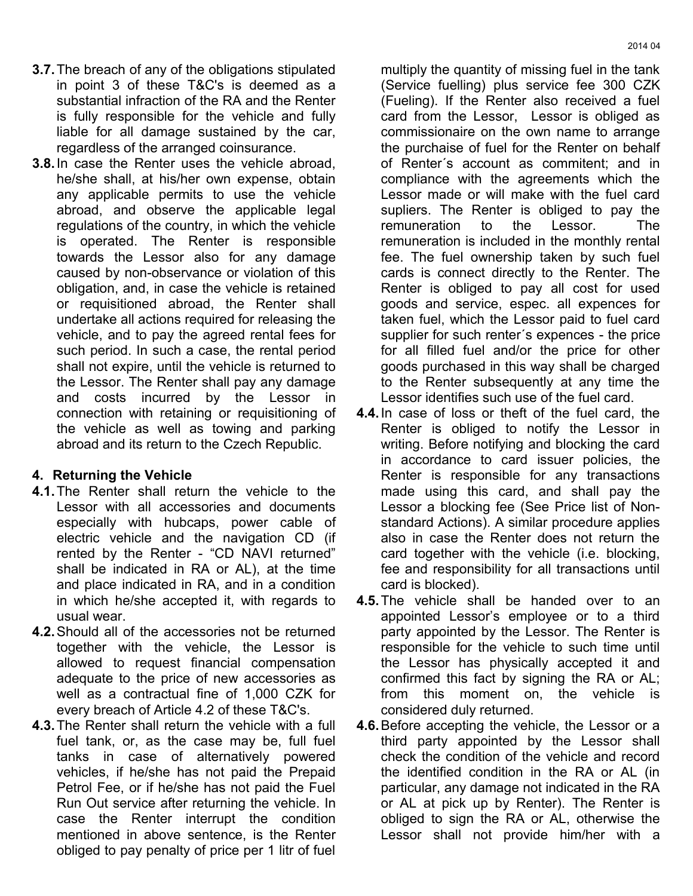- **3.7.**The breach of any of the obligations stipulated in point 3 of these T&C's is deemed as a substantial infraction of the RA and the Renter is fully responsible for the vehicle and fully liable for all damage sustained by the car, regardless of the arranged coinsurance.
- **3.8.**In case the Renter uses the vehicle abroad, he/she shall, at his/her own expense, obtain any applicable permits to use the vehicle abroad, and observe the applicable legal regulations of the country, in which the vehicle is operated. The Renter is responsible towards the Lessor also for any damage caused by non-observance or violation of this obligation, and, in case the vehicle is retained or requisitioned abroad, the Renter shall undertake all actions required for releasing the vehicle, and to pay the agreed rental fees for such period. In such a case, the rental period shall not expire, until the vehicle is returned to the Lessor. The Renter shall pay any damage and costs incurred by the Lessor in connection with retaining or requisitioning of the vehicle as well as towing and parking abroad and its return to the Czech Republic.

### **4. Returning the Vehicle**

- **4.1.**The Renter shall return the vehicle to the Lessor with all accessories and documents especially with hubcaps, power cable of electric vehicle and the navigation CD (if rented by the Renter - "CD NAVI returned" shall be indicated in RA or AL), at the time and place indicated in RA, and in a condition in which he/she accepted it, with regards to usual wear.
- **4.2.**Should all of the accessories not be returned together with the vehicle, the Lessor is allowed to request financial compensation adequate to the price of new accessories as well as a contractual fine of 1,000 CZK for every breach of Article 4.2 of these T&C's.
- **4.3.**The Renter shall return the vehicle with a full fuel tank, or, as the case may be, full fuel tanks in case of alternatively powered vehicles, if he/she has not paid the Prepaid Petrol Fee, or if he/she has not paid the Fuel Run Out service after returning the vehicle. In case the Renter interrupt the condition mentioned in above sentence, is the Renter obliged to pay penalty of price per 1 litr of fuel

multiply the quantity of missing fuel in the tank (Service fuelling) plus service fee 300 CZK (Fueling). If the Renter also received a fuel card from the Lessor, Lessor is obliged as commissionaire on the own name to arrange the purchaise of fuel for the Renter on behalf of Renter´s account as commitent; and in compliance with the agreements which the Lessor made or will make with the fuel card supliers. The Renter is obliged to pay the remuneration to the Lessor. The remuneration is included in the monthly rental fee. The fuel ownership taken by such fuel cards is connect directly to the Renter. The Renter is obliged to pay all cost for used goods and service, espec. all expences for taken fuel, which the Lessor paid to fuel card supplier for such renter´s expences - the price for all filled fuel and/or the price for other goods purchased in this way shall be charged to the Renter subsequently at any time the Lessor identifies such use of the fuel card.

- **4.4.**In case of loss or theft of the fuel card, the Renter is obliged to notify the Lessor in writing. Before notifying and blocking the card in accordance to card issuer policies, the Renter is responsible for any transactions made using this card, and shall pay the Lessor a blocking fee (See Price list of Nonstandard Actions). A similar procedure applies also in case the Renter does not return the card together with the vehicle (i.e. blocking, fee and responsibility for all transactions until card is blocked).
- **4.5.**The vehicle shall be handed over to an appointed Lessor's employee or to a third party appointed by the Lessor. The Renter is responsible for the vehicle to such time until the Lessor has physically accepted it and confirmed this fact by signing the RA or AL; from this moment on, the vehicle is considered duly returned.
- **4.6.**Before accepting the vehicle, the Lessor or a third party appointed by the Lessor shall check the condition of the vehicle and record the identified condition in the RA or AL (in particular, any damage not indicated in the RA or AL at pick up by Renter). The Renter is obliged to sign the RA or AL, otherwise the Lessor shall not provide him/her with a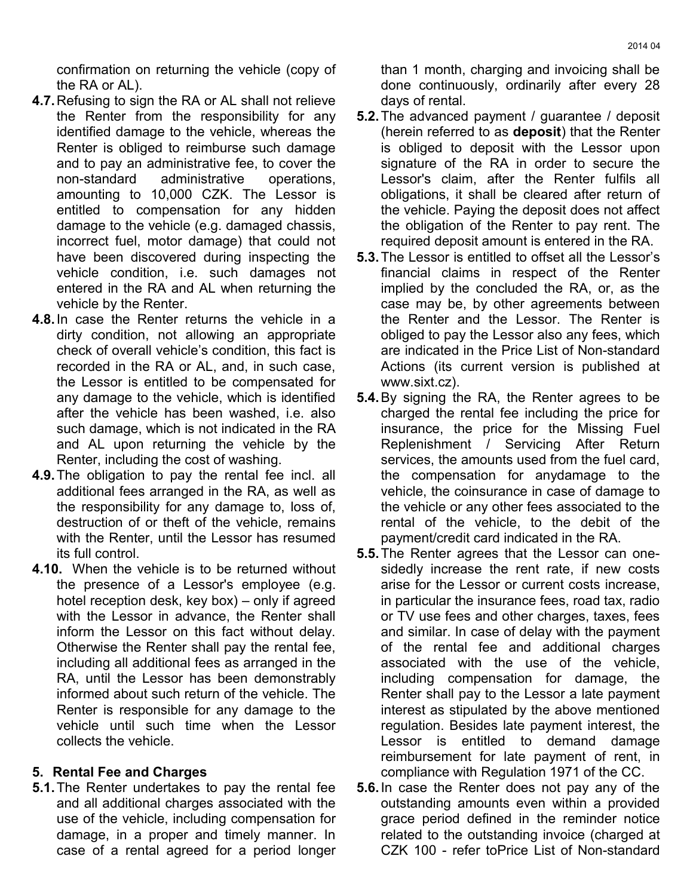confirmation on returning the vehicle (copy of the RA or AL).

- **4.7.**Refusing to sign the RA or AL shall not relieve the Renter from the responsibility for any identified damage to the vehicle, whereas the Renter is obliged to reimburse such damage and to pay an administrative fee, to cover the non-standard administrative operations, amounting to 10,000 CZK. The Lessor is entitled to compensation for any hidden damage to the vehicle (e.g. damaged chassis, incorrect fuel, motor damage) that could not have been discovered during inspecting the vehicle condition, i.e. such damages not entered in the RA and AL when returning the vehicle by the Renter.
- **4.8.**In case the Renter returns the vehicle in a dirty condition, not allowing an appropriate check of overall vehicle's condition, this fact is recorded in the RA or AL, and, in such case, the Lessor is entitled to be compensated for any damage to the vehicle, which is identified after the vehicle has been washed, i.e. also such damage, which is not indicated in the RA and AL upon returning the vehicle by the Renter, including the cost of washing.
- **4.9.**The obligation to pay the rental fee incl. all additional fees arranged in the RA, as well as the responsibility for any damage to, loss of, destruction of or theft of the vehicle, remains with the Renter, until the Lessor has resumed its full control.
- **4.10.** When the vehicle is to be returned without the presence of a Lessor's employee (e.g. hotel reception desk, key box) – only if agreed with the Lessor in advance, the Renter shall inform the Lessor on this fact without delay. Otherwise the Renter shall pay the rental fee, including all additional fees as arranged in the RA, until the Lessor has been demonstrably informed about such return of the vehicle. The Renter is responsible for any damage to the vehicle until such time when the Lessor collects the vehicle.

## **5. Rental Fee and Charges**

**5.1.**The Renter undertakes to pay the rental fee and all additional charges associated with the use of the vehicle, including compensation for damage, in a proper and timely manner. In case of a rental agreed for a period longer

than 1 month, charging and invoicing shall be done continuously, ordinarily after every 28 days of rental.

- **5.2.**The advanced payment / guarantee / deposit (herein referred to as **deposit**) that the Renter is obliged to deposit with the Lessor upon signature of the RA in order to secure the Lessor's claim, after the Renter fulfils all obligations, it shall be cleared after return of the vehicle. Paying the deposit does not affect the obligation of the Renter to pay rent. The required deposit amount is entered in the RA.
- **5.3.**The Lessor is entitled to offset all the Lessor's financial claims in respect of the Renter implied by the concluded the RA, or, as the case may be, by other agreements between the Renter and the Lessor. The Renter is obliged to pay the Lessor also any fees, which are indicated in the Price List of Non-standard Actions (its current version is published at www.sixt.cz).
- **5.4.**By signing the RA, the Renter agrees to be charged the rental fee including the price for insurance, the price for the Missing Fuel Replenishment / Servicing After Return services, the amounts used from the fuel card, the compensation for anydamage to the vehicle, the coinsurance in case of damage to the vehicle or any other fees associated to the rental of the vehicle, to the debit of the payment/credit card indicated in the RA.
- **5.5.**The Renter agrees that the Lessor can onesidedly increase the rent rate, if new costs arise for the Lessor or current costs increase, in particular the insurance fees, road tax, radio or TV use fees and other charges, taxes, fees and similar. In case of delay with the payment of the rental fee and additional charges associated with the use of the vehicle, including compensation for damage, the Renter shall pay to the Lessor a late payment interest as stipulated by the above mentioned regulation. Besides late payment interest, the Lessor is entitled to demand damage reimbursement for late payment of rent, in compliance with Regulation 1971 of the CC.
- **5.6.**In case the Renter does not pay any of the outstanding amounts even within a provided grace period defined in the reminder notice related to the outstanding invoice (charged at CZK 100 - refer toPrice List of Non-standard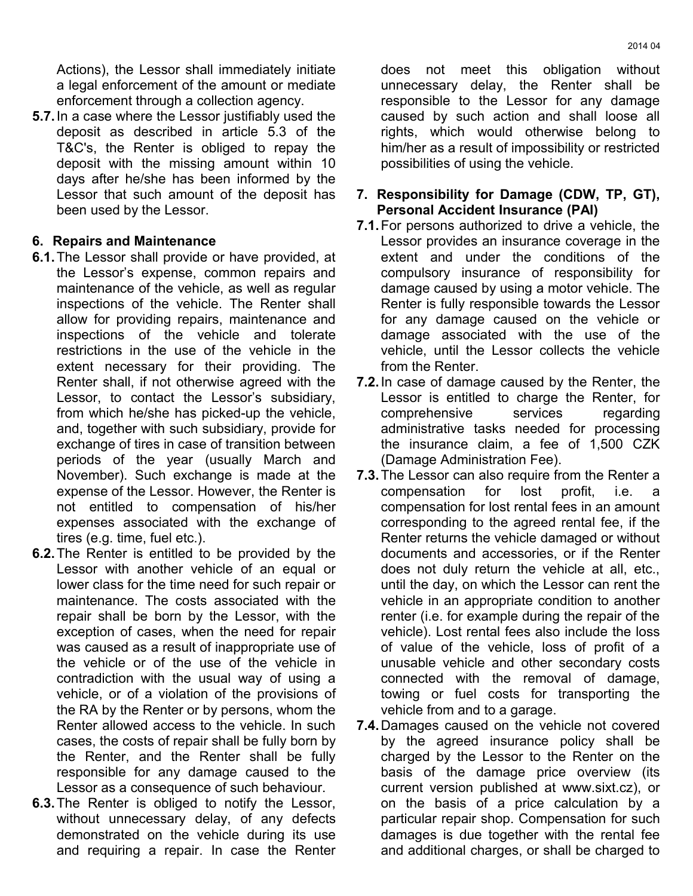Actions), the Lessor shall immediately initiate a legal enforcement of the amount or mediate enforcement through a collection agency.

**5.7.**In a case where the Lessor justifiably used the deposit as described in article 5.3 of the T&C's, the Renter is obliged to repay the deposit with the missing amount within 10 days after he/she has been informed by the Lessor that such amount of the deposit has been used by the Lessor.

### **6. Repairs and Maintenance**

- **6.1.**The Lessor shall provide or have provided, at the Lessor's expense, common repairs and maintenance of the vehicle, as well as regular inspections of the vehicle. The Renter shall allow for providing repairs, maintenance and inspections of the vehicle and tolerate restrictions in the use of the vehicle in the extent necessary for their providing. The Renter shall, if not otherwise agreed with the Lessor, to contact the Lessor's subsidiary, from which he/she has picked-up the vehicle, and, together with such subsidiary, provide for exchange of tires in case of transition between periods of the year (usually March and November). Such exchange is made at the expense of the Lessor. However, the Renter is not entitled to compensation of his/her expenses associated with the exchange of tires (e.g. time, fuel etc.).
- **6.2.**The Renter is entitled to be provided by the Lessor with another vehicle of an equal or lower class for the time need for such repair or maintenance. The costs associated with the repair shall be born by the Lessor, with the exception of cases, when the need for repair was caused as a result of inappropriate use of the vehicle or of the use of the vehicle in contradiction with the usual way of using a vehicle, or of a violation of the provisions of the RA by the Renter or by persons, whom the Renter allowed access to the vehicle. In such cases, the costs of repair shall be fully born by the Renter, and the Renter shall be fully responsible for any damage caused to the Lessor as a consequence of such behaviour.
- **6.3.**The Renter is obliged to notify the Lessor, without unnecessary delay, of any defects demonstrated on the vehicle during its use and requiring a repair. In case the Renter

does not meet this obligation without unnecessary delay, the Renter shall be responsible to the Lessor for any damage caused by such action and shall loose all rights, which would otherwise belong to him/her as a result of impossibility or restricted possibilities of using the vehicle.

#### **7. Responsibility for Damage (CDW, TP, GT), Personal Accident Insurance (PAI)**

- **7.1.**For persons authorized to drive a vehicle, the Lessor provides an insurance coverage in the extent and under the conditions of the compulsory insurance of responsibility for damage caused by using a motor vehicle. The Renter is fully responsible towards the Lessor for any damage caused on the vehicle or damage associated with the use of the vehicle, until the Lessor collects the vehicle from the Renter.
- **7.2.**In case of damage caused by the Renter, the Lessor is entitled to charge the Renter, for comprehensive services regarding administrative tasks needed for processing the insurance claim, a fee of 1,500 CZK (Damage Administration Fee).
- **7.3.**The Lessor can also require from the Renter a compensation for lost profit, i.e. a compensation for lost rental fees in an amount corresponding to the agreed rental fee, if the Renter returns the vehicle damaged or without documents and accessories, or if the Renter does not duly return the vehicle at all, etc., until the day, on which the Lessor can rent the vehicle in an appropriate condition to another renter (i.e. for example during the repair of the vehicle). Lost rental fees also include the loss of value of the vehicle, loss of profit of a unusable vehicle and other secondary costs connected with the removal of damage, towing or fuel costs for transporting the vehicle from and to a garage.
- **7.4.**Damages caused on the vehicle not covered by the agreed insurance policy shall be charged by the Lessor to the Renter on the basis of the damage price overview (its current version published at www.sixt.cz), or on the basis of a price calculation by a particular repair shop. Compensation for such damages is due together with the rental fee and additional charges, or shall be charged to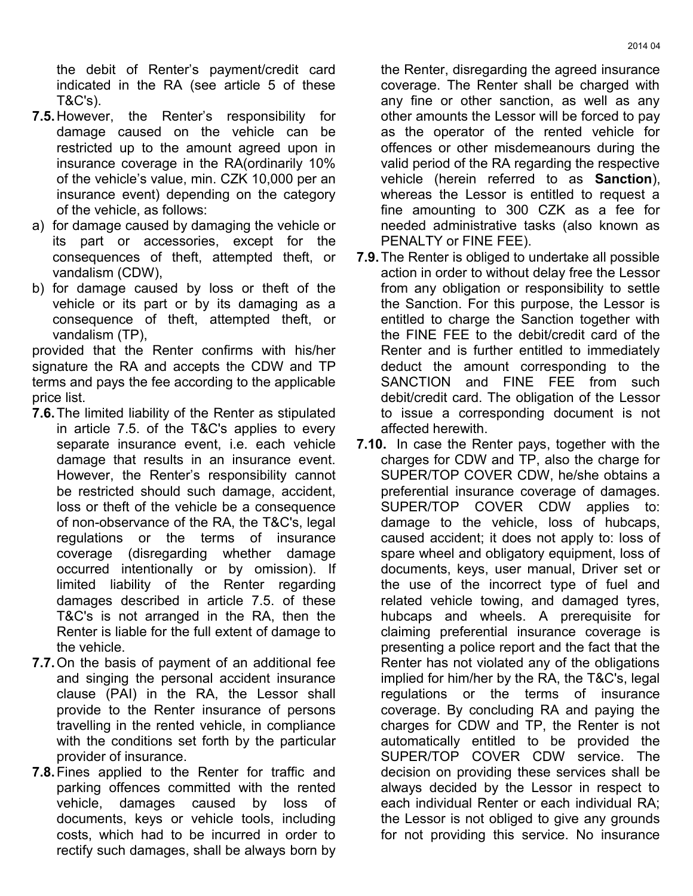the debit of Renter's payment/credit card indicated in the RA (see article 5 of these T&C's).

- **7.5.**However, the Renter's responsibility for damage caused on the vehicle can be restricted up to the amount agreed upon in insurance coverage in the RA(ordinarily 10% of the vehicle's value, min. CZK 10,000 per an insurance event) depending on the category of the vehicle, as follows:
- a) for damage caused by damaging the vehicle or its part or accessories, except for the consequences of theft, attempted theft, or vandalism (CDW),
- b) for damage caused by loss or theft of the vehicle or its part or by its damaging as a consequence of theft, attempted theft, or vandalism (TP),

provided that the Renter confirms with his/her signature the RA and accepts the CDW and TP terms and pays the fee according to the applicable price list.

- **7.6.**The limited liability of the Renter as stipulated in article 7.5. of the T&C's applies to every separate insurance event, i.e. each vehicle damage that results in an insurance event. However, the Renter's responsibility cannot be restricted should such damage, accident, loss or theft of the vehicle be a consequence of non-observance of the RA, the T&C's, legal regulations or the terms of insurance coverage (disregarding whether damage occurred intentionally or by omission). If limited liability of the Renter regarding damages described in article 7.5. of these T&C's is not arranged in the RA, then the Renter is liable for the full extent of damage to the vehicle.
- **7.7.**On the basis of payment of an additional fee and singing the personal accident insurance clause (PAI) in the RA, the Lessor shall provide to the Renter insurance of persons travelling in the rented vehicle, in compliance with the conditions set forth by the particular provider of insurance.
- **7.8.**Fines applied to the Renter for traffic and parking offences committed with the rented vehicle, damages caused by loss of documents, keys or vehicle tools, including costs, which had to be incurred in order to rectify such damages, shall be always born by

the Renter, disregarding the agreed insurance coverage. The Renter shall be charged with any fine or other sanction, as well as any other amounts the Lessor will be forced to pay as the operator of the rented vehicle for offences or other misdemeanours during the valid period of the RA regarding the respective vehicle (herein referred to as **Sanction**), whereas the Lessor is entitled to request a fine amounting to 300 CZK as a fee for needed administrative tasks (also known as PENALTY or FINE FEE).

- **7.9.**The Renter is obliged to undertake all possible action in order to without delay free the Lessor from any obligation or responsibility to settle the Sanction. For this purpose, the Lessor is entitled to charge the Sanction together with the FINE FEE to the debit/credit card of the Renter and is further entitled to immediately deduct the amount corresponding to the SANCTION and FINE FEE from such debit/credit card. The obligation of the Lessor to issue a corresponding document is not affected herewith.
- **7.10.** In case the Renter pays, together with the charges for CDW and TP, also the charge for SUPER/TOP COVER CDW, he/she obtains a preferential insurance coverage of damages. SUPER/TOP COVER CDW applies to: damage to the vehicle, loss of hubcaps, caused accident; it does not apply to: loss of spare wheel and obligatory equipment, loss of documents, keys, user manual, Driver set or the use of the incorrect type of fuel and related vehicle towing, and damaged tyres, hubcaps and wheels. A prerequisite for claiming preferential insurance coverage is presenting a police report and the fact that the Renter has not violated any of the obligations implied for him/her by the RA, the T&C's, legal regulations or the terms of insurance coverage. By concluding RA and paying the charges for CDW and TP, the Renter is not automatically entitled to be provided the SUPER/TOP COVER CDW service. The decision on providing these services shall be always decided by the Lessor in respect to each individual Renter or each individual RA; the Lessor is not obliged to give any grounds for not providing this service. No insurance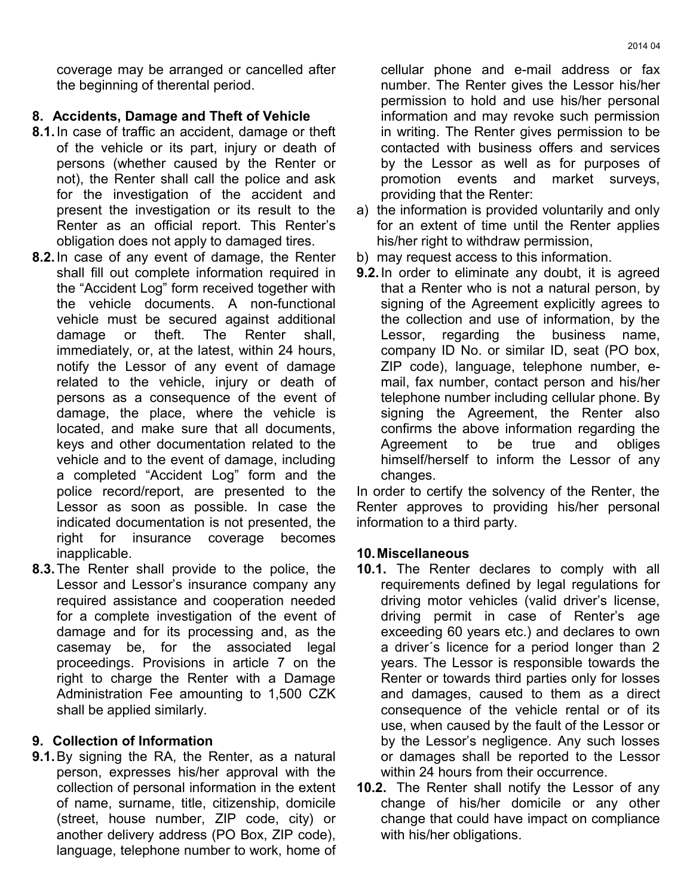coverage may be arranged or cancelled after the beginning of therental period.

### **8. Accidents, Damage and Theft of Vehicle**

- **8.1.**In case of traffic an accident, damage or theft of the vehicle or its part, injury or death of persons (whether caused by the Renter or not), the Renter shall call the police and ask for the investigation of the accident and present the investigation or its result to the Renter as an official report. This Renter's obligation does not apply to damaged tires.
- **8.2.**In case of any event of damage, the Renter shall fill out complete information required in the "Accident Log" form received together with the vehicle documents. A non-functional vehicle must be secured against additional damage or theft. The Renter shall, immediately, or, at the latest, within 24 hours, notify the Lessor of any event of damage related to the vehicle, injury or death of persons as a consequence of the event of damage, the place, where the vehicle is located, and make sure that all documents, keys and other documentation related to the vehicle and to the event of damage, including a completed "Accident Log" form and the police record/report, are presented to the Lessor as soon as possible. In case the indicated documentation is not presented, the right for insurance coverage becomes inapplicable.
- **8.3.**The Renter shall provide to the police, the Lessor and Lessor's insurance company any required assistance and cooperation needed for a complete investigation of the event of damage and for its processing and, as the casemay be, for the associated legal proceedings. Provisions in article 7 on the right to charge the Renter with a Damage Administration Fee amounting to 1,500 CZK shall be applied similarly.

## **9. Collection of Information**

**9.1.**By signing the RA, the Renter, as a natural person, expresses his/her approval with the collection of personal information in the extent of name, surname, title, citizenship, domicile (street, house number, ZIP code, city) or another delivery address (PO Box, ZIP code), language, telephone number to work, home of cellular phone and e-mail address or fax number. The Renter gives the Lessor his/her permission to hold and use his/her personal information and may revoke such permission in writing. The Renter gives permission to be contacted with business offers and services by the Lessor as well as for purposes of promotion events and market surveys, providing that the Renter:

- a) the information is provided voluntarily and only for an extent of time until the Renter applies his/her right to withdraw permission,
- b) may request access to this information.
- **9.2.**In order to eliminate any doubt, it is agreed that a Renter who is not a natural person, by signing of the Agreement explicitly agrees to the collection and use of information, by the Lessor, regarding the business name, company ID No. or similar ID, seat (PO box, ZIP code), language, telephone number, email, fax number, contact person and his/her telephone number including cellular phone. By signing the Agreement, the Renter also confirms the above information regarding the Agreement to be true and obliges himself/herself to inform the Lessor of any changes.

In order to certify the solvency of the Renter, the Renter approves to providing his/her personal information to a third party.

### **10.Miscellaneous**

- **10.1.** The Renter declares to comply with all requirements defined by legal regulations for driving motor vehicles (valid driver's license, driving permit in case of Renter's age exceeding 60 years etc.) and declares to own a driver´s licence for a period longer than 2 years. The Lessor is responsible towards the Renter or towards third parties only for losses and damages, caused to them as a direct consequence of the vehicle rental or of its use, when caused by the fault of the Lessor or by the Lessor's negligence. Any such losses or damages shall be reported to the Lessor within 24 hours from their occurrence.
- **10.2.** The Renter shall notify the Lessor of any change of his/her domicile or any other change that could have impact on compliance with his/her obligations.